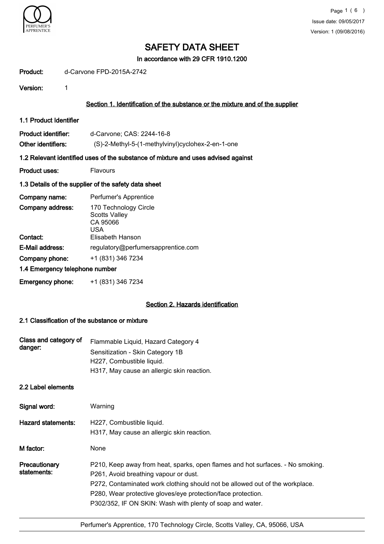

In accordance with 29 CFR 1910.1200

| Product: | d-Carvone FPD-2015A-2742 |
|----------|--------------------------|
|----------|--------------------------|

Version: 1

### Section 1. Identification of the substance or the mixture and of the supplier

1.1 Product Identifier

| Product identifier: | d-Carvone; CAS: 2244-16-8                         |
|---------------------|---------------------------------------------------|
| Other identifiers:  | (S)-2-Methyl-5-(1-methylvinyl)cyclohex-2-en-1-one |

#### 1.2 Relevant identified uses of the substance of mixture and uses advised against

**Product uses:** Flavours

#### 1.3 Details of the supplier of the safety data sheet

| Company name:                  | Perfumer's Apprentice                                            |
|--------------------------------|------------------------------------------------------------------|
| Company address:               | 170 Technology Circle<br><b>Scotts Valley</b><br>CA 95066<br>USA |
| Contact:                       | Elisabeth Hanson                                                 |
| E-Mail address:                | regulatory@perfumersapprentice.com                               |
| Company phone:                 | +1 (831) 346 7234                                                |
| 1.4 Emergency telephone number |                                                                  |
| <b>Emergency phone:</b>        | +1 (831) 346 7234                                                |

#### Section 2. Hazards identification

#### 2.1 Classification of the substance or mixture

| Class and category of<br>danger: | Flammable Liquid, Hazard Category 4        |
|----------------------------------|--------------------------------------------|
|                                  | Sensitization - Skin Category 1B           |
|                                  | H227, Combustible liquid.                  |
|                                  | H317, May cause an allergic skin reaction. |

### 2.2 Label elements

| Signal word:                 | Warning                                                                                                                                                                                                                                                                                                                              |
|------------------------------|--------------------------------------------------------------------------------------------------------------------------------------------------------------------------------------------------------------------------------------------------------------------------------------------------------------------------------------|
| Hazard statements:           | H227, Combustible liquid.<br>H317, May cause an allergic skin reaction.                                                                                                                                                                                                                                                              |
| M factor:                    | None                                                                                                                                                                                                                                                                                                                                 |
| Precautionary<br>statements: | P210, Keep away from heat, sparks, open flames and hot surfaces. - No smoking.<br>P261, Avoid breathing vapour or dust.<br>P272, Contaminated work clothing should not be allowed out of the workplace.<br>P280, Wear protective gloves/eye protection/face protection.<br>P302/352, IF ON SKIN: Wash with plenty of soap and water. |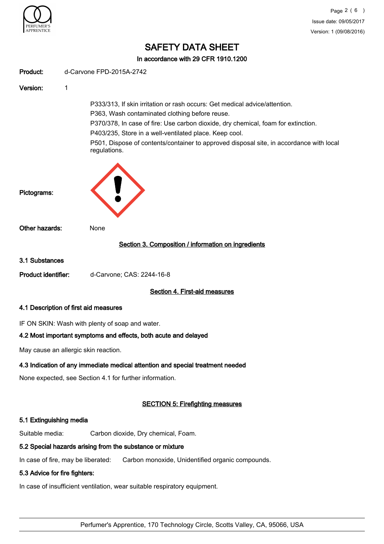

In accordance with 29 CFR 1910.1200

| Product:                                                                                                                                                                                                                                                                                                                                            | d-Carvone FPD-2015A-2742                                                                                                                                                                                                                                                                                                                                                               |  |
|-----------------------------------------------------------------------------------------------------------------------------------------------------------------------------------------------------------------------------------------------------------------------------------------------------------------------------------------------------|----------------------------------------------------------------------------------------------------------------------------------------------------------------------------------------------------------------------------------------------------------------------------------------------------------------------------------------------------------------------------------------|--|
| Version:                                                                                                                                                                                                                                                                                                                                            | 1                                                                                                                                                                                                                                                                                                                                                                                      |  |
|                                                                                                                                                                                                                                                                                                                                                     | P333/313, If skin irritation or rash occurs: Get medical advice/attention.<br>P363, Wash contaminated clothing before reuse.<br>P370/378, In case of fire: Use carbon dioxide, dry chemical, foam for extinction.<br>P403/235, Store in a well-ventilated place. Keep cool.<br>P501, Dispose of contents/container to approved disposal site, in accordance with local<br>regulations. |  |
| Pictograms:                                                                                                                                                                                                                                                                                                                                         |                                                                                                                                                                                                                                                                                                                                                                                        |  |
| Other hazards:                                                                                                                                                                                                                                                                                                                                      | None                                                                                                                                                                                                                                                                                                                                                                                   |  |
|                                                                                                                                                                                                                                                                                                                                                     | Section 3. Composition / information on ingredients                                                                                                                                                                                                                                                                                                                                    |  |
| 3.1 Substances                                                                                                                                                                                                                                                                                                                                      |                                                                                                                                                                                                                                                                                                                                                                                        |  |
| <b>Product identifier:</b>                                                                                                                                                                                                                                                                                                                          | d-Carvone; CAS: 2244-16-8                                                                                                                                                                                                                                                                                                                                                              |  |
|                                                                                                                                                                                                                                                                                                                                                     | Section 4. First-aid measures                                                                                                                                                                                                                                                                                                                                                          |  |
|                                                                                                                                                                                                                                                                                                                                                     | 4.1 Description of first aid measures                                                                                                                                                                                                                                                                                                                                                  |  |
|                                                                                                                                                                                                                                                                                                                                                     | IF ON SKIN: Wash with plenty of soap and water.<br>4.2 Most important symptoms and effects, both acute and delayed                                                                                                                                                                                                                                                                     |  |
|                                                                                                                                                                                                                                                                                                                                                     | May cause an allergic skin reaction.                                                                                                                                                                                                                                                                                                                                                   |  |
| $\overline{A}$ , $\overline{A}$ , $\overline{A}$ , $\overline{A}$ , $\overline{A}$ , $\overline{A}$ , $\overline{A}$ , $\overline{A}$ , $\overline{A}$ , $\overline{A}$ , $\overline{A}$ , $\overline{A}$ , $\overline{A}$ , $\overline{A}$ , $\overline{A}$ , $\overline{A}$ , $\overline{A}$ , $\overline{A}$ , $\overline{A}$ , $\overline{A}$ , | والمستحيل المالي والمراج المرود المربوط والمتعاط والمتعاون والمتعالم والمراج                                                                                                                                                                                                                                                                                                           |  |

## 4.3 Indication of any immediate medical attention and special treatment needed

None expected, see Section 4.1 for further information.

## SECTION 5: Firefighting measures

### 5.1 Extinguishing media

Suitable media: Carbon dioxide, Dry chemical, Foam.

## 5.2 Special hazards arising from the substance or mixture

In case of fire, may be liberated: Carbon monoxide, Unidentified organic compounds.

#### 5.3 Advice for fire fighters:

In case of insufficient ventilation, wear suitable respiratory equipment.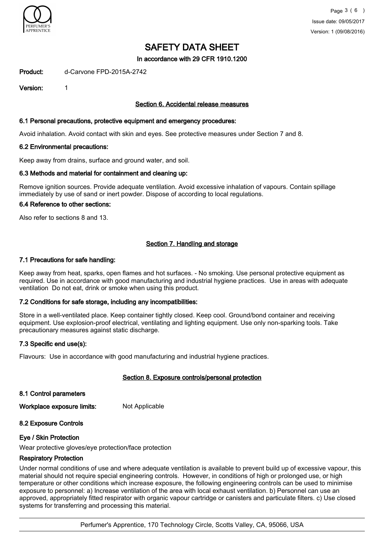

In accordance with 29 CFR 1910.1200

Product: d-Carvone FPD-2015A-2742

Version: 1

#### Section 6. Accidental release measures

#### 6.1 Personal precautions, protective equipment and emergency procedures:

Avoid inhalation. Avoid contact with skin and eyes. See protective measures under Section 7 and 8.

#### 6.2 Environmental precautions:

Keep away from drains, surface and ground water, and soil.

#### 6.3 Methods and material for containment and cleaning up:

Remove ignition sources. Provide adequate ventilation. Avoid excessive inhalation of vapours. Contain spillage immediately by use of sand or inert powder. Dispose of according to local regulations.

#### 6.4 Reference to other sections:

Also refer to sections 8 and 13.

### Section 7. Handling and storage

#### 7.1 Precautions for safe handling:

Keep away from heat, sparks, open flames and hot surfaces. - No smoking. Use personal protective equipment as required. Use in accordance with good manufacturing and industrial hygiene practices. Use in areas with adequate ventilation Do not eat, drink or smoke when using this product.

#### 7.2 Conditions for safe storage, including any incompatibilities:

Store in a well-ventilated place. Keep container tightly closed. Keep cool. Ground/bond container and receiving equipment. Use explosion-proof electrical, ventilating and lighting equipment. Use only non-sparking tools. Take precautionary measures against static discharge.

#### 7.3 Specific end use(s):

Flavours: Use in accordance with good manufacturing and industrial hygiene practices.

#### Section 8. Exposure controls/personal protection

8.1 Control parameters

Workplace exposure limits: Not Applicable

## 8.2 Exposure Controls

#### Eye / Skin Protection

Wear protective gloves/eye protection/face protection

#### Respiratory Protection

Under normal conditions of use and where adequate ventilation is available to prevent build up of excessive vapour, this material should not require special engineering controls. However, in conditions of high or prolonged use, or high temperature or other conditions which increase exposure, the following engineering controls can be used to minimise exposure to personnel: a) Increase ventilation of the area with local exhaust ventilation. b) Personnel can use an approved, appropriately fitted respirator with organic vapour cartridge or canisters and particulate filters. c) Use closed systems for transferring and processing this material.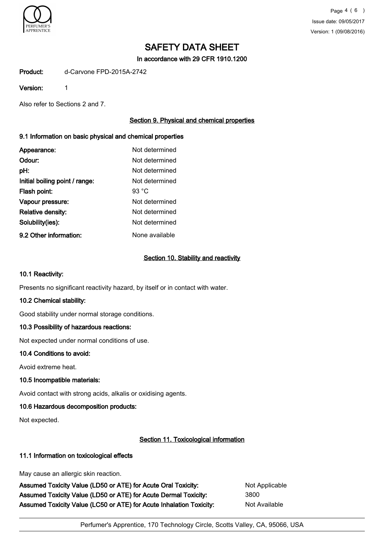

In accordance with 29 CFR 1910.1200

Product: d-Carvone FPD-2015A-2742

#### Version: 1

Also refer to Sections 2 and 7.

## Section 9. Physical and chemical properties

### 9.1 Information on basic physical and chemical properties

| Appearance:                    | Not determined  |
|--------------------------------|-----------------|
| Odour:                         | Not determined  |
| pH:                            | Not determined  |
| Initial boiling point / range: | Not determined  |
| Flash point:                   | 93 $^{\circ}$ C |
| Vapour pressure:               | Not determined  |
| <b>Relative density:</b>       | Not determined  |
| Solubility(ies):               | Not determined  |
| 9.2 Other information:         | None available  |

### Section 10. Stability and reactivity

#### 10.1 Reactivity:

Presents no significant reactivity hazard, by itself or in contact with water.

## 10.2 Chemical stability:

Good stability under normal storage conditions.

## 10.3 Possibility of hazardous reactions:

Not expected under normal conditions of use.

## 10.4 Conditions to avoid:

Avoid extreme heat.

## 10.5 Incompatible materials:

Avoid contact with strong acids, alkalis or oxidising agents.

## 10.6 Hazardous decomposition products:

Not expected.

## Section 11. Toxicological information

## 11.1 Information on toxicological effects

May cause an allergic skin reaction.

Assumed Toxicity Value (LD50 or ATE) for Acute Oral Toxicity: Not Applicable Assumed Toxicity Value (LD50 or ATE) for Acute Dermal Toxicity: 3800 Assumed Toxicity Value (LC50 or ATE) for Acute Inhalation Toxicity: Not Available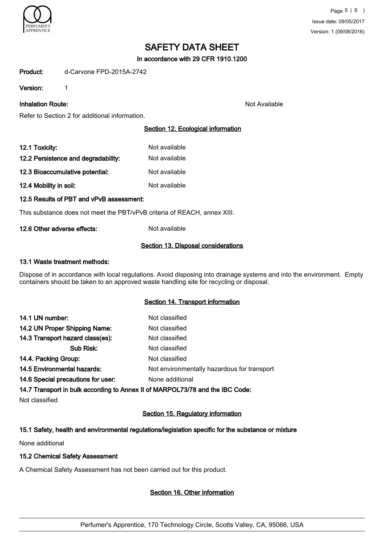

In accordance with 29 CFR 1910.1200

Product: d-Carvone FPD-2015A-2742

Version: 1

**Inhalation Route:** Not Available and Available and Available and Available and Available and Available and Available and Available and Available and Available and Available and Available and Available and Available and Av

Refer to Section 2 for additional information.

## Section 12. Ecological information

| 12.1 Toxicity:                      | Not available |
|-------------------------------------|---------------|
| 12.2 Persistence and degradability: | Not available |
| 12.3 Bioaccumulative potential:     | Not available |
| 12.4 Mobility in soil:              | Not available |

12.5 Results of PBT and vPvB assessment:

This substance does not meet the PBT/vPvB criteria of REACH, annex XIII.

#### 12.6 Other adverse effects: Not available

#### Section 13. Disposal considerations

#### 13.1 Waste treatment methods:

Dispose of in accordance with local regulations. Avoid disposing into drainage systems and into the environment. Empty containers should be taken to an approved waste handling site for recycling or disposal.

## Section 14. Transport information

| 14.1 UN number:                    | Not classified                              |
|------------------------------------|---------------------------------------------|
| 14.2 UN Proper Shipping Name:      | Not classified                              |
| 14.3 Transport hazard class(es):   | Not classified                              |
| Sub Risk:                          | Not classified                              |
| 14.4. Packing Group:               | Not classified                              |
| 14.5 Environmental hazards:        | Not environmentally hazardous for transport |
| 14.6 Special precautions for user: | None additional                             |

14.7 Transport in bulk according to Annex II of MARPOL73/78 and the IBC Code:

Not classified

## Section 15. Regulatory information

## 15.1 Safety, health and environmental regulations/legislation specific for the substance or mixture

None additional

## 15.2 Chemical Safety Assessment

A Chemical Safety Assessment has not been carried out for this product.

## Section 16. Other information